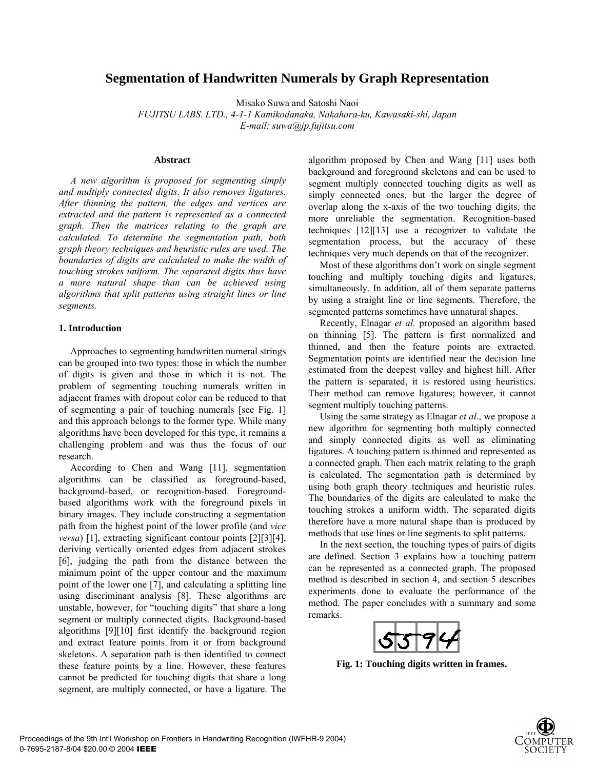# **Segmentation of Handwritten Numerals by Graph Representation**

Misako Suwa and Satoshi Naoi

*FUJITSU LABS. LTD., 4-1-1 Kamikodanaka, Nakahara-ku, Kawasaki-shi, Japan E-mail: suwa@jp.fujitsu.com*

# **Abstract**

*A new algorithm is proposed for segmenting simply and multiply connected digits. It also removes ligatures. After thinning the pattern, the edges and vertices are extracted and the pattern is represented as a connected graph. Then the matrices relating to the graph are calculated. To determine the segmentation path, both graph theory techniques and heuristic rules are used. The boundaries of digits are calculated to make the width of touching strokes uniform. The separated digits thus have a more natural shape than can be achieved using algorithms that split patterns using straight lines or line segments.* 

### **1. Introduction**

Approaches to segmenting handwritten numeral strings can be grouped into two types: those in which the number of digits is given and those in which it is not. The problem of segmenting touching numerals written in adjacent frames with dropout color can be reduced to that of segmenting a pair of touching numerals [see Fig. 1] and this approach belongs to the former type. While many algorithms have been developed for this type, it remains a challenging problem and was thus the focus of our research.

According to Chen and Wang [11], segmentation algorithms can be classified as foreground-based, background-based, or recognition-based. Foregroundbased algorithms work with the foreground pixels in binary images. They include constructing a segmentation path from the highest point of the lower profile (and *vice versa*) [1], extracting significant contour points [2][3][4], deriving vertically oriented edges from adjacent strokes [6], judging the path from the distance between the minimum point of the upper contour and the maximum point of the lower one [7], and calculating a splitting line using discriminant analysis [8]. These algorithms are unstable, however, for "touching digits" that share a long segment or multiply connected digits. Background-based algorithms [9][10] first identify the background region and extract feature points from it or from background skeletons. A separation path is then identified to connect these feature points by a line. However, these features cannot be predicted for touching digits that share a long segment, are multiply connected, or have a ligature. The algorithm proposed by Chen and Wang [11] uses both background and foreground skeletons and can be used to segment multiply connected touching digits as well as simply connected ones, but the larger the degree of overlap along the x-axis of the two touching digits, the more unreliable the segmentation. Recognition-based techniques [12][13] use a recognizer to validate the segmentation process, but the accuracy of these techniques very much depends on that of the recognizer.

Most of these algorithms don't work on single segment touching and multiply touching digits and ligatures, simultaneously. In addition, all of them separate patterns by using a straight line or line segments. Therefore, the segmented patterns sometimes have unnatural shapes.

Recently, Elnagar *et al.* proposed an algorithm based on thinning [5]. The pattern is first normalized and thinned, and then the feature points are extracted. Segmentation points are identified near the decision line estimated from the deepest valley and highest hill. After the pattern is separated, it is restored using heuristics. Their method can remove ligatures; however, it cannot segment multiply touching patterns.

Using the same strategy as Elnagar *et al*., we propose a new algorithm for segmenting both multiply connected and simply connected digits as well as eliminating ligatures. A touching pattern is thinned and represented as a connected graph. Then each matrix relating to the graph is calculated. The segmentation path is determined by using both graph theory techniques and heuristic rules. The boundaries of the digits are calculated to make the touching strokes a uniform width. The separated digits therefore have a more natural shape than is produced by methods that use lines or line segments to split patterns.

In the next section, the touching types of pairs of digits are defined. Section 3 explains how a touching pattern can be represented as a connected graph. The proposed method is described in section 4, and section 5 describes experiments done to evaluate the performance of the method. The paper concludes with a summary and some remarks.



**Fig. 1: Touching digits written in frames.** 

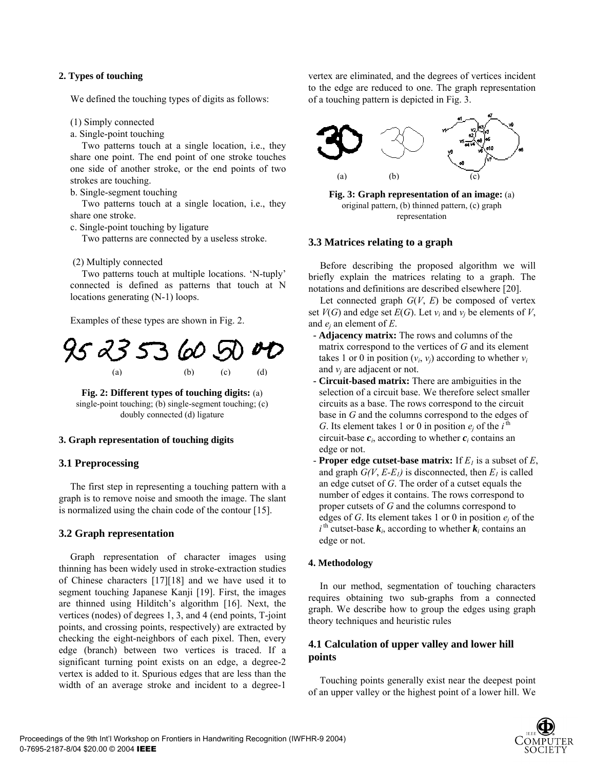# **2. Types of touching**

We defined the touching types of digits as follows:

### (1) Simply connected

a. Single-point touching

Two patterns touch at a single location, i.e., they share one point. The end point of one stroke touches one side of another stroke, or the end points of two strokes are touching.

b. Single-segment touching

Two patterns touch at a single location, i.e., they share one stroke.

c. Single-point touching by ligature

Two patterns are connected by a useless stroke.

### (2) Multiply connected

Two patterns touch at multiple locations. 'N-tuply' connected is defined as patterns that touch at N locations generating (N-1) loops.

Examples of these types are shown in Fig. 2.



**Fig. 2: Different types of touching digits:** (a) single-point touching; (b) single-segment touching; (c) doubly connected (d) ligature

# **3. Graph representation of touching digits**

# **3.1 Preprocessing**

The first step in representing a touching pattern with a graph is to remove noise and smooth the image. The slant is normalized using the chain code of the contour [15].

# **3.2 Graph representation**

Graph representation of character images using thinning has been widely used in stroke-extraction studies of Chinese characters [17][18] and we have used it to segment touching Japanese Kanji [19]. First, the images are thinned using Hilditch's algorithm [16]. Next, the vertices (nodes) of degrees 1, 3, and 4 (end points, T-joint points, and crossing points, respectively) are extracted by checking the eight-neighbors of each pixel. Then, every edge (branch) between two vertices is traced. If a significant turning point exists on an edge, a degree-2 vertex is added to it. Spurious edges that are less than the width of an average stroke and incident to a degree-1

vertex are eliminated, and the degrees of vertices incident to the edge are reduced to one. The graph representation of a touching pattern is depicted in Fig. 3.



**Fig. 3: Graph representation of an image:** (a) original pattern, (b) thinned pattern, (c) graph representation

### **3.3 Matrices relating to a graph**

Before describing the proposed algorithm we will briefly explain the matrices relating to a graph. The notations and definitions are described elsewhere [20].

Let connected graph  $G(V, E)$  be composed of vertex set  $V(G)$  and edge set  $E(G)$ . Let  $v_i$  and  $v_j$  be elements of V, and *ej* an element of *E*.

- **Adjacency matrix:** The rows and columns of the matrix correspond to the vertices of *G* and its element takes 1 or 0 in position  $(v_i, v_j)$  according to whether  $v_i$ (c) (d) and  $v_j$  are adjacent or not.
	- **Circuit-based matrix:** There are ambiguities in the selection of a circuit base. We therefore select smaller circuits as a base. The rows correspond to the circuit base in *G* and the columns correspond to the edges of *G*. Its element takes 1 or 0 in position  $e_j$  of the *i*<sup>th</sup> circuit-base  $c_i$ , according to whether  $c_i$  contains an edge or not.
	- **Proper edge cutset-base matrix:** If  $E_l$  is a subset of  $E$ , and graph  $G(V, E-E_l)$  is disconnected, then  $E_l$  is called an edge cutset of *G*. The order of a cutset equals the number of edges it contains. The rows correspond to proper cutsets of *G* and the columns correspond to edges of *G*. Its element takes 1 or 0 in position  $e_i$  of the  $i$ <sup>th</sup> cutset-base  $k_i$ , according to whether  $k_i$  contains an edge or not.

# **4. Methodology**

In our method, segmentation of touching characters requires obtaining two sub-graphs from a connected graph. We describe how to group the edges using graph theory techniques and heuristic rules

# **4.1 Calculation of upper valley and lower hill points**

Touching points generally exist near the deepest point of an upper valley or the highest point of a lower hill. We

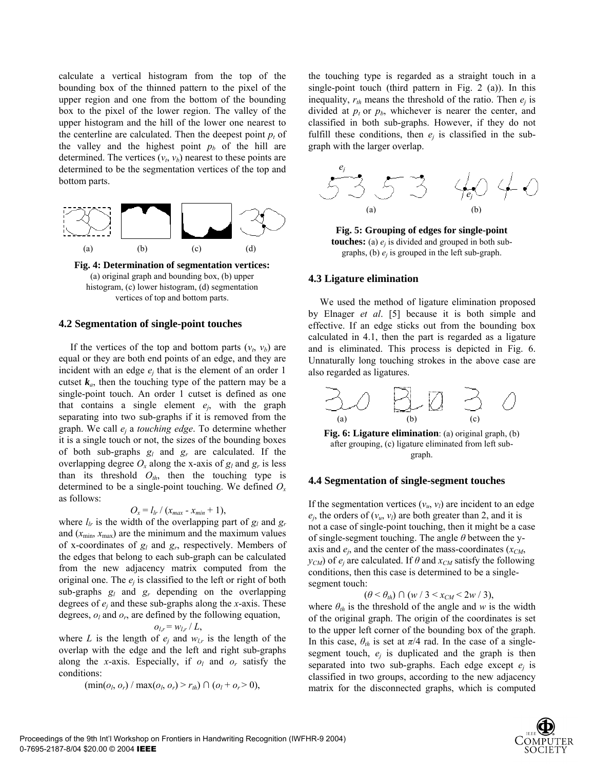calculate a vertical histogram from the top of the bounding box of the thinned pattern to the pixel of the upper region and one from the bottom of the bounding box to the pixel of the lower region. The valley of the upper histogram and the hill of the lower one nearest to the centerline are calculated. Then the deepest point  $p_t$  of the valley and the highest point  $p_b$  of the hill are determined. The vertices  $(v_t, v_b)$  nearest to these points are determined to be the segmentation vertices of the top and bottom parts.



**Fig. 4: Determination of segmentation vertices:** (a) original graph and bounding box, (b) upper histogram, (c) lower histogram, (d) segmentation vertices of top and bottom parts.

#### **4.2 Segmentation of single-point touches**

If the vertices of the top and bottom parts  $(v_t, v_b)$  are equal or they are both end points of an edge, and they are incident with an edge  $e_i$  that is the element of an order 1 cutset  $k_a$ , then the touching type of the pattern may be a single-point touch. An order 1 cutset is defined as one that contains a single element *ej*, with the graph separating into two sub-graphs if it is removed from the graph. We call *ej* a *touching edge*. To determine whether it is a single touch or not, the sizes of the bounding boxes of both sub-graphs  $g_l$  and  $g_r$  are calculated. If the overlapping degree  $O_x$  along the x-axis of  $g_l$  and  $g_r$  is less than its threshold  $O_{th}$ , then the touching type is determined to be a single-point touching. We defined *Ox* as follows:

$$
O_x = l_{lr} / (x_{max} - x_{min} + 1),
$$

where  $l_k$  is the width of the overlapping part of  $g_l$  and  $g_r$ and  $(x_{\text{min}}, x_{\text{max}})$  are the minimum and the maximum values of x-coordinates of *gl* and *gr*, respectively. Members of the edges that belong to each sub-graph can be calculated from the new adjacency matrix computed from the original one. The  $e_i$  is classified to the left or right of both sub-graphs  $g_l$  and  $g_r$  depending on the overlapping degrees of  $e_j$  and these sub-graphs along the *x*-axis. These degrees,  $o_l$  and  $o_r$ , are defined by the following equation,

$$
o_{l,r}=w_{l,r}/L,
$$

where *L* is the length of  $e_i$  and  $w_{l,r}$  is the length of the overlap with the edge and the left and right sub-graphs along the *x*-axis. Especially, if  $o_l$  and  $o_r$  satisfy the conditions:

$$
(\min(o_l, o_r) / \max(o_l, o_r) > r_{th}) \cap (o_l + o_r > 0),
$$

the touching type is regarded as a straight touch in a single-point touch (third pattern in Fig. 2 (a)). In this inequality,  $r_{th}$  means the threshold of the ratio. Then  $e_i$  is divided at  $p_t$  or  $p_b$ , whichever is nearer the center, and classified in both sub-graphs. However, if they do not fulfill these conditions, then  $e_i$  is classified in the subgraph with the larger overlap.



**Fig. 5: Grouping of edges for single-point touches:** (a)  $e_i$  is divided and grouped in both subgraphs, (b)  $e_i$  is grouped in the left sub-graph.

#### **4.3 Ligature elimination**

We used the method of ligature elimination proposed by Elnager *et al*. [5] because it is both simple and effective. If an edge sticks out from the bounding box calculated in 4.1, then the part is regarded as a ligature and is eliminated. This process is depicted in Fig. 6. Unnaturally long touching strokes in the above case are also regarded as ligatures.



**Fig. 6: Ligature elimination**: (a) original graph, (b) after grouping, (c) ligature eliminated from left subgraph.

### **4.4 Segmentation of single-segment touches**

If the segmentation vertices  $(v_u, v_l)$  are incident to an edge  $e_i$ , the orders of  $(v_u, v_l)$  are both greater than 2, and it is not a case of single-point touching, then it might be a case of single-segment touching. The angle *θ* between the yaxis and  $e_i$ , and the center of the mass-coordinates ( $x_{CM}$ ,  $y_{CM}$ ) of  $e_i$  are calculated. If  $\theta$  and  $x_{CM}$  satisfy the following conditions, then this case is determined to be a singlesegment touch:

$$
(\theta < \theta_{th}) \cap (w / 3 < x_{CM} < 2w / 3),
$$

where  $\theta_{th}$  is the threshold of the angle and *w* is the width of the original graph. The origin of the coordinates is set to the upper left corner of the bounding box of the graph. In this case,  $\theta_{th}$  is set at  $\pi/4$  rad. In the case of a singlesegment touch,  $e_j$  is duplicated and the graph is then separated into two sub-graphs. Each edge except  $e_i$  is classified in two groups, according to the new adjacency matrix for the disconnected graphs, which is computed

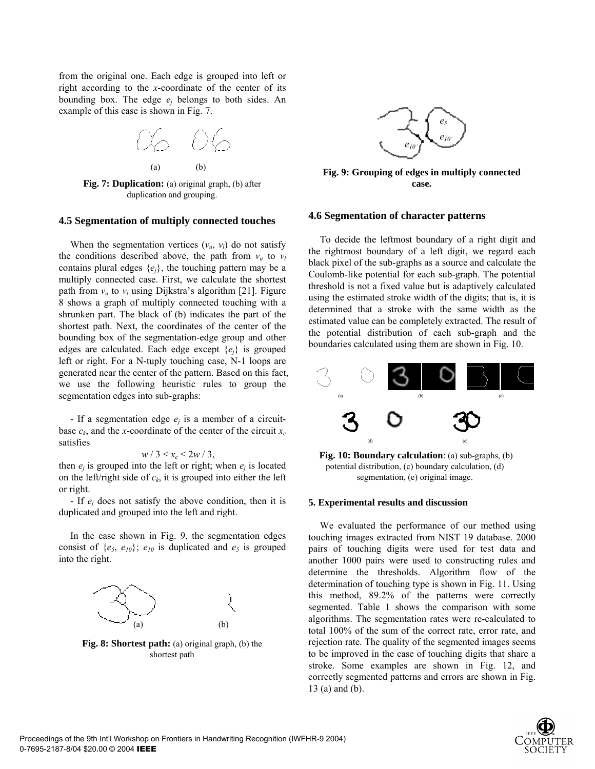from the original one. Each edge is grouped into left or right according to the *x*-coordinate of the center of its bounding box. The edge *ej* belongs to both sides. An example of this case is shown in Fig. 7.



**Fig. 7: Duplication:** (a) original graph, (b) after duplication and grouping.

#### **4.5 Segmentation of multiply connected touches**

When the segmentation vertices  $(v_u, v_l)$  do not satisfy the conditions described above, the path from  $v_u$  to  $v_l$ contains plural edges  ${e_i}$ , the touching pattern may be a multiply connected case. First, we calculate the shortest path from  $v_u$  to  $v_l$  using Dijkstra's algorithm [21]. Figure 8 shows a graph of multiply connected touching with a shrunken part. The black of (b) indicates the part of the shortest path. Next, the coordinates of the center of the bounding box of the segmentation-edge group and other edges are calculated. Each edge except {*ej*} is grouped left or right. For a N-tuply touching case, N-1 loops are generated near the center of the pattern. Based on this fact, we use the following heuristic rules to group the segmentation edges into sub-graphs:

- If a segmentation edge *ej* is a member of a circuitbase  $c_k$ , and the *x*-coordinate of the center of the circuit  $x_c$ satisfies

$$
w / 3 < x_c < 2w / 3
$$
,

then  $e_i$  is grouped into the left or right; when  $e_i$  is located on the left/right side of  $c_k$ , it is grouped into either the left or right.

- If *ej* does not satisfy the above condition, then it is duplicated and grouped into the left and right.

In the case shown in Fig. 9, the segmentation edges consist of  $\{e_5, e_{10}\}\;$ ;  $e_{10}$  is duplicated and  $e_5$  is grouped into the right.



**Fig. 8: Shortest path:** (a) original graph, (b) the shortest path



**Fig. 9: Grouping of edges in multiply connected case.** 

#### **4.6 Segmentation of character patterns**

To decide the leftmost boundary of a right digit and the rightmost boundary of a left digit, we regard each black pixel of the sub-graphs as a source and calculate the Coulomb-like potential for each sub-graph. The potential threshold is not a fixed value but is adaptively calculated using the estimated stroke width of the digits; that is, it is determined that a stroke with the same width as the estimated value can be completely extracted. The result of the potential distribution of each sub-graph and the boundaries calculated using them are shown in Fig. 10.



 **Fig. 10: Boundary calculation**: (a) sub-graphs, (b) potential distribution, (c) boundary calculation, (d) segmentation, (e) original image.

#### **5. Experimental results and discussion**

We evaluated the performance of our method using touching images extracted from NIST 19 database. 2000 pairs of touching digits were used for test data and another 1000 pairs were used to constructing rules and determine the thresholds. Algorithm flow of the determination of touching type is shown in Fig. 11. Using this method, 89.2% of the patterns were correctly segmented. Table 1 shows the comparison with some algorithms. The segmentation rates were re-calculated to total 100% of the sum of the correct rate, error rate, and rejection rate. The quality of the segmented images seems to be improved in the case of touching digits that share a stroke. Some examples are shown in Fig. 12, and correctly segmented patterns and errors are shown in Fig. 13 (a) and (b).

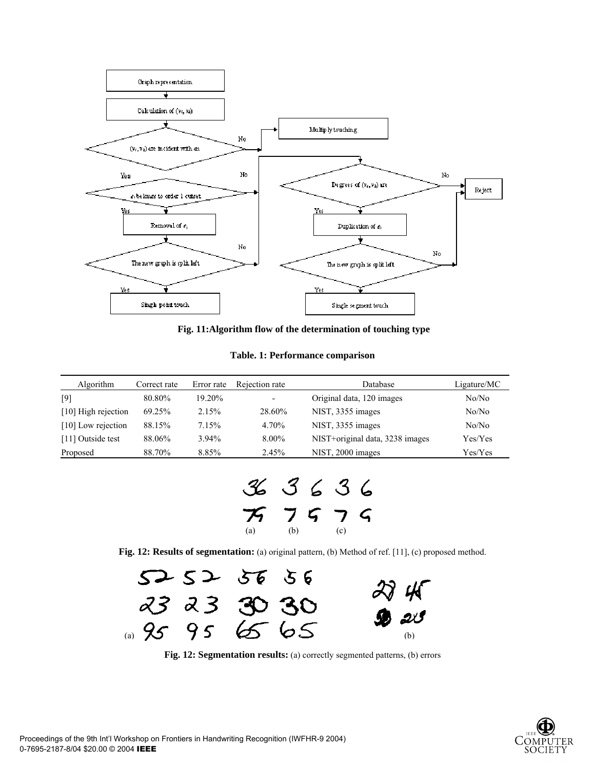

 **Fig. 11:Algorithm flow of the determination of touching type** 

**Table. 1: Performance comparison** 

| Algorithm           | Correct rate | Error rate | Rejection rate           | Database                        | Ligature/MC |
|---------------------|--------------|------------|--------------------------|---------------------------------|-------------|
| [9]                 | 80.80%       | 19.20%     | $\overline{\phantom{a}}$ | Original data, 120 images       | No/No       |
| [10] High rejection | 69.25%       | 2.15%      | 28.60%                   | NIST, 3355 images               | No/No       |
| [10] Low rejection  | 88.15%       | 7.15%      | 4.70%                    | NIST, 3355 images               | No/No       |
| [11] Outside test   | 88.06%       | $3.94\%$   | $8.00\%$                 | NIST+original data, 3238 images | Yes/Yes     |
| Proposed            | 88.70%       | 8.85%      | 2.45%                    | NIST, 2000 images               | Yes/Yes     |

| $\mathcal Z$ 3636          |     |     |  |
|----------------------------|-----|-----|--|
| $\boldsymbol{\mathcal{F}}$ | フGフ |     |  |
| (a)                        | (b) | (c) |  |

Fig. 12: Results of segmentation: (a) original pattern, (b) Method of ref. [11], (c) proposed method.



**Fig. 12: Segmentation results:** (a) correctly segmented patterns, (b) errors